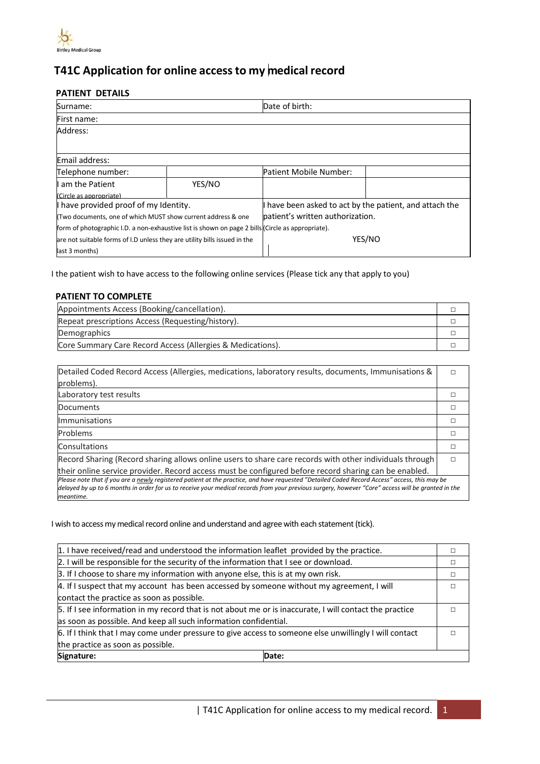

# **T41C Application for online accessto my medical record**

## **PATIENT DETAILS**

| Surname:                                                                                          |        | Date of birth:                                          |        |
|---------------------------------------------------------------------------------------------------|--------|---------------------------------------------------------|--------|
| First name:                                                                                       |        |                                                         |        |
| Address:                                                                                          |        |                                                         |        |
|                                                                                                   |        |                                                         |        |
| Email address:                                                                                    |        |                                                         |        |
| Telephone number:                                                                                 |        | Patient Mobile Number:                                  |        |
| I am the Patient                                                                                  | YES/NO |                                                         |        |
| (Circle as appropriate)                                                                           |        |                                                         |        |
| I have provided proof of my Identity.                                                             |        | I have been asked to act by the patient, and attach the |        |
| (Two documents, one of which MUST show current address & one                                      |        | patient's written authorization.                        |        |
| form of photographic I.D. a non-exhaustive list is shown on page 2 bills (Circle as appropriate). |        |                                                         |        |
| are not suitable forms of I.D unless they are utility bills issued in the                         |        |                                                         | YES/NO |
| last 3 months)                                                                                    |        |                                                         |        |

I the patient wish to have access to the following online services (Please tick any that apply to you)

# **PATIENT TO COMPLETE**

| Appointments Access (Booking/cancellation).                |  |
|------------------------------------------------------------|--|
| Repeat prescriptions Access (Requesting/history).          |  |
| Demographics                                               |  |
| Core Summary Care Record Access (Allergies & Medications). |  |

| Detailed Coded Record Access (Allergies, medications, laboratory results, documents, Immunisations &<br>problems).                                                                                                                                                                                               |   |
|------------------------------------------------------------------------------------------------------------------------------------------------------------------------------------------------------------------------------------------------------------------------------------------------------------------|---|
| Laboratory test results                                                                                                                                                                                                                                                                                          |   |
| Documents                                                                                                                                                                                                                                                                                                        |   |
| <b>Immunisations</b>                                                                                                                                                                                                                                                                                             |   |
| <b>Problems</b>                                                                                                                                                                                                                                                                                                  |   |
| Consultations                                                                                                                                                                                                                                                                                                    |   |
| Record Sharing (Record sharing allows online users to share care records with other individuals through                                                                                                                                                                                                          | п |
| their online service provider. Record access must be configured before record sharing can be enabled.                                                                                                                                                                                                            |   |
| Please note that if you are a newly registered patient at the practice, and have reguested "Detailed Coded Record Access" access, this may be<br>delayed by up to 6 months in order for us to receive your medical records from your previous surgery, however "Core" access will be granted in the<br>meantime. |   |

I wish to access my medical record online and understand and agree with each statement (tick).

| 1. I have received/read and understood the information leaflet provided by the practice.                |  |
|---------------------------------------------------------------------------------------------------------|--|
| 2. I will be responsible for the security of the information that I see or download.                    |  |
| 3. If I choose to share my information with anyone else, this is at my own risk.                        |  |
| 4. If I suspect that my account has been accessed by someone without my agreement, I will               |  |
| contact the practice as soon as possible.                                                               |  |
| 5. If I see information in my record that is not about me or is inaccurate, I will contact the practice |  |
| as soon as possible. And keep all such information confidential.                                        |  |
| 6. If I think that I may come under pressure to give access to someone else unwillingly I will contact  |  |
| the practice as soon as possible.                                                                       |  |
| Signature:<br>Date:                                                                                     |  |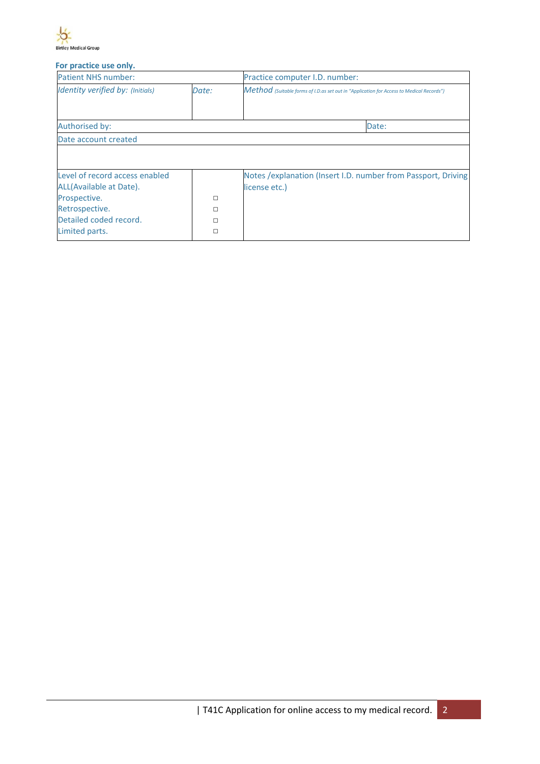

### **For practice use only.**

| <b>Patient NHS number:</b>       |       | Practice computer I.D. number:                                                           |  |
|----------------------------------|-------|------------------------------------------------------------------------------------------|--|
| Identity verified by: (Initials) | Date: | Method (Suitable forms of I.D.as set out in "Application for Access to Medical Records") |  |
| Authorised by:                   |       | Date:                                                                                    |  |
| Date account created             |       |                                                                                          |  |
|                                  |       |                                                                                          |  |
|                                  |       |                                                                                          |  |
|                                  |       |                                                                                          |  |
| Level of record access enabled   |       | Notes / explanation (Insert I.D. number from Passport, Driving                           |  |
| ALL(Available at Date).          |       | license etc.)                                                                            |  |
| Prospective.                     | □     |                                                                                          |  |
| Retrospective.                   | □     |                                                                                          |  |
| Detailed coded record.           | п     |                                                                                          |  |